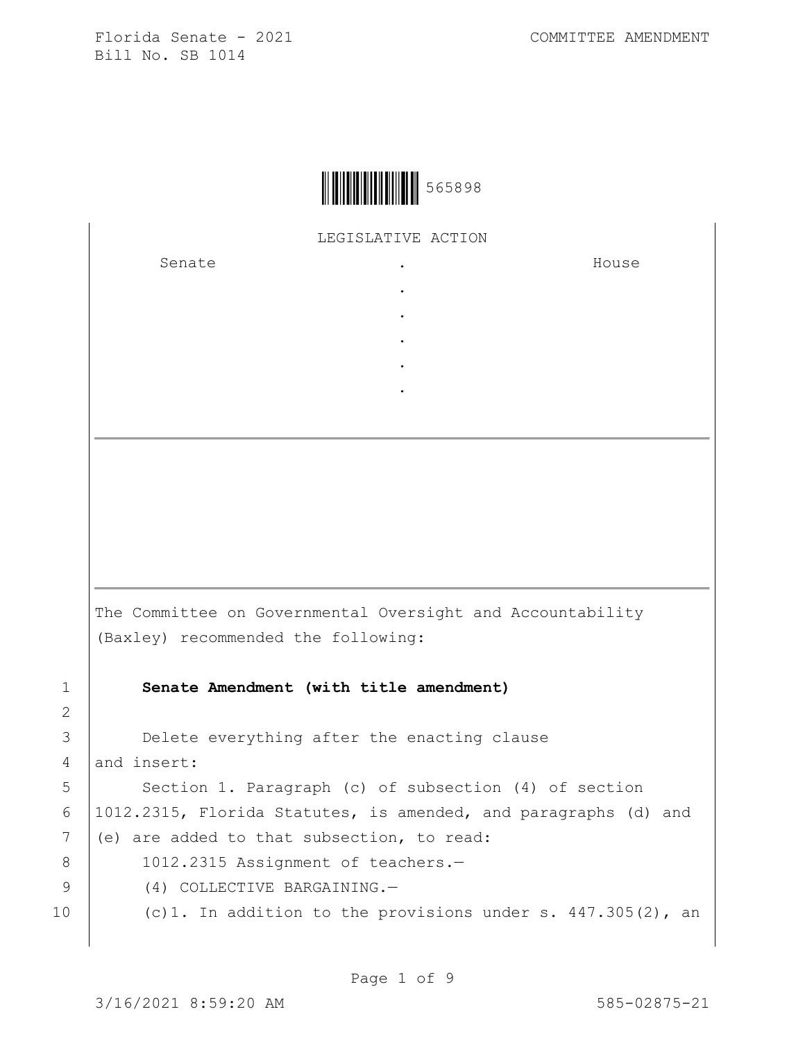

LEGISLATIVE ACTION

. . . . .

Senate the senate of the senate of the senate of  $\cdot$ 

House

The Committee on Governmental Oversight and Accountability (Baxley) recommended the following: 1 **Senate Amendment (with title amendment)**

3 **Delete everything after the enacting clause** 4 and insert:

5 | Section 1. Paragraph (c) of subsection (4) of section 6 1012.2315, Florida Statutes, is amended, and paragraphs (d) and 7 (e) are added to that subsection, to read:

8 | 1012.2315 Assignment of teachers.-

9 (4) COLLECTIVE BARGAINING.

10 (c)1. In addition to the provisions under s. 447.305(2), an

2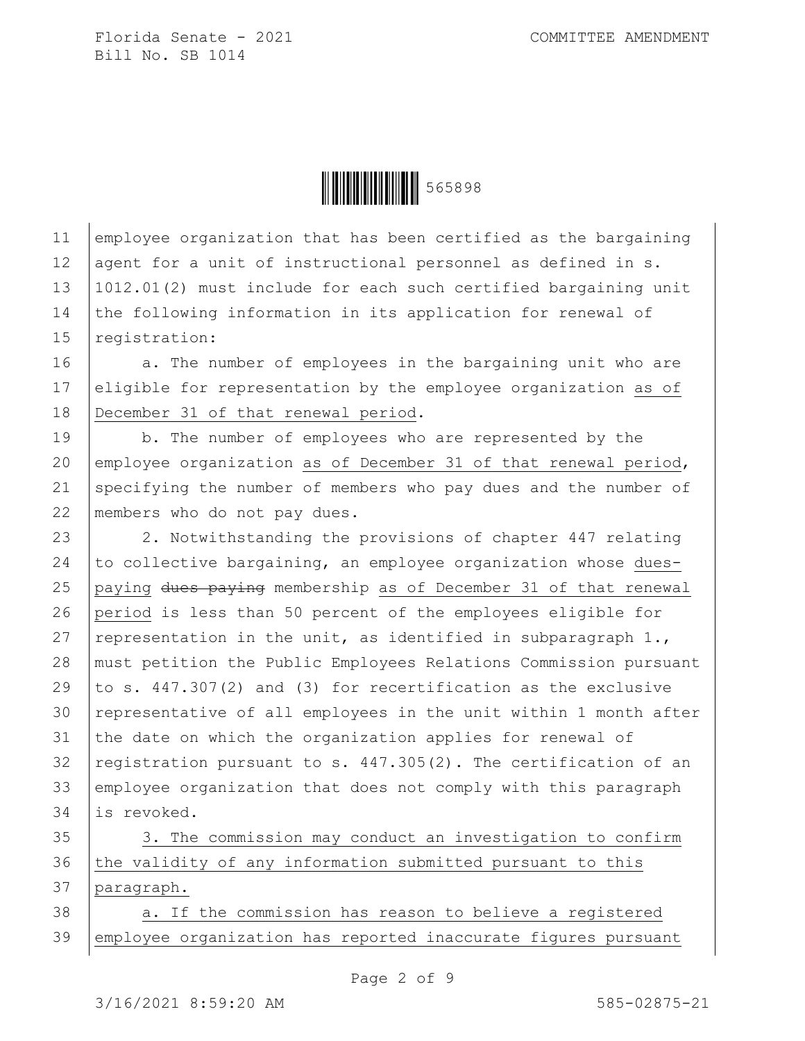

11 employee organization that has been certified as the bargaining 12 agent for a unit of instructional personnel as defined in s. 13 1012.01(2) must include for each such certified bargaining unit 14 the following information in its application for renewal of 15 | registration:

16 a. The number of employees in the bargaining unit who are 17 eligible for representation by the employee organization as of 18 December 31 of that renewal period.

19 b. The number of employees who are represented by the 20 employee organization as of December 31 of that renewal period, 21 specifying the number of members who pay dues and the number of 22 members who do not pay dues.

23 2. Notwithstanding the provisions of chapter 447 relating  $\vert$  to collective bargaining, an employee organization whose dues- paying dues paying membership as of December 31 of that renewal period is less than 50 percent of the employees eligible for 27 representation in the unit, as identified in subparagraph  $1.$ , must petition the Public Employees Relations Commission pursuant  $\vert$  to s. 447.307(2) and (3) for recertification as the exclusive 30 representative of all employees in the unit within 1 month after 31 the date on which the organization applies for renewal of  $registration pursuit to s. 447.305(2)$ . The certification of an employee organization that does not comply with this paragraph is revoked.

35 3. The commission may conduct an investigation to confirm 36 the validity of any information submitted pursuant to this 37 paragraph.

38 a. If the commission has reason to believe a reqistered 39 employee organization has reported inaccurate figures pursuant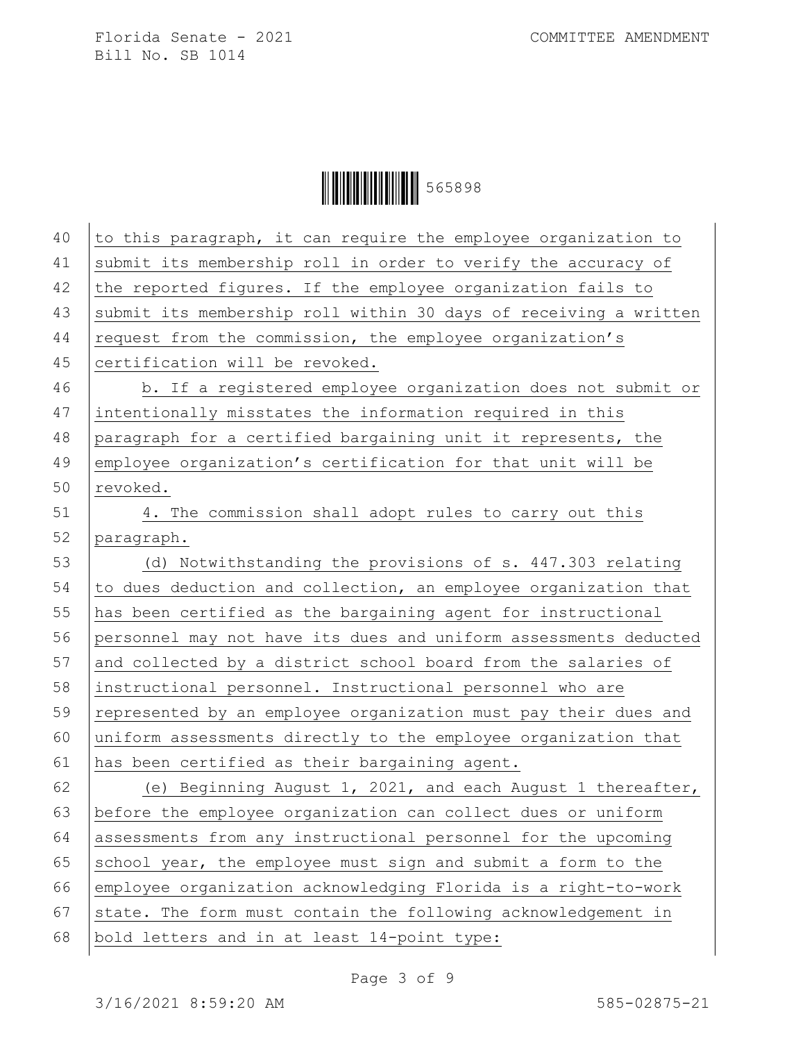| 40 | to this paragraph, it can require the employee organization to   |
|----|------------------------------------------------------------------|
| 41 | submit its membership roll in order to verify the accuracy of    |
| 42 | the reported figures. If the employee organization fails to      |
| 43 | submit its membership roll within 30 days of receiving a written |
| 44 | request from the commission, the employee organization's         |
| 45 | certification will be revoked.                                   |
| 46 | b. If a registered employee organization does not submit or      |
| 47 | intentionally misstates the information required in this         |
| 48 | paragraph for a certified bargaining unit it represents, the     |
| 49 | employee organization's certification for that unit will be      |
| 50 | revoked.                                                         |
| 51 | 4. The commission shall adopt rules to carry out this            |
| 52 | paragraph.                                                       |
| 53 | (d) Notwithstanding the provisions of s. 447.303 relating        |
| 54 | to dues deduction and collection, an employee organization that  |
| 55 | has been certified as the bargaining agent for instructional     |
| 56 | personnel may not have its dues and uniform assessments deducted |
| 57 | and collected by a district school board from the salaries of    |
| 58 | instructional personnel. Instructional personnel who are         |
| 59 | represented by an employee organization must pay their dues and  |
| 60 | uniform assessments directly to the employee organization that   |
| 61 | has been certified as their bargaining agent.                    |
| 62 | (e) Beginning August 1, 2021, and each August 1 thereafter,      |
| 63 | before the employee organization can collect dues or uniform     |
| 64 | assessments from any instructional personnel for the upcoming    |
| 65 | school year, the employee must sign and submit a form to the     |
| 66 | employee organization acknowledging Florida is a right-to-work   |
| 67 | state. The form must contain the following acknowledgement in    |
| 68 | bold letters and in at least 14-point type:                      |
|    |                                                                  |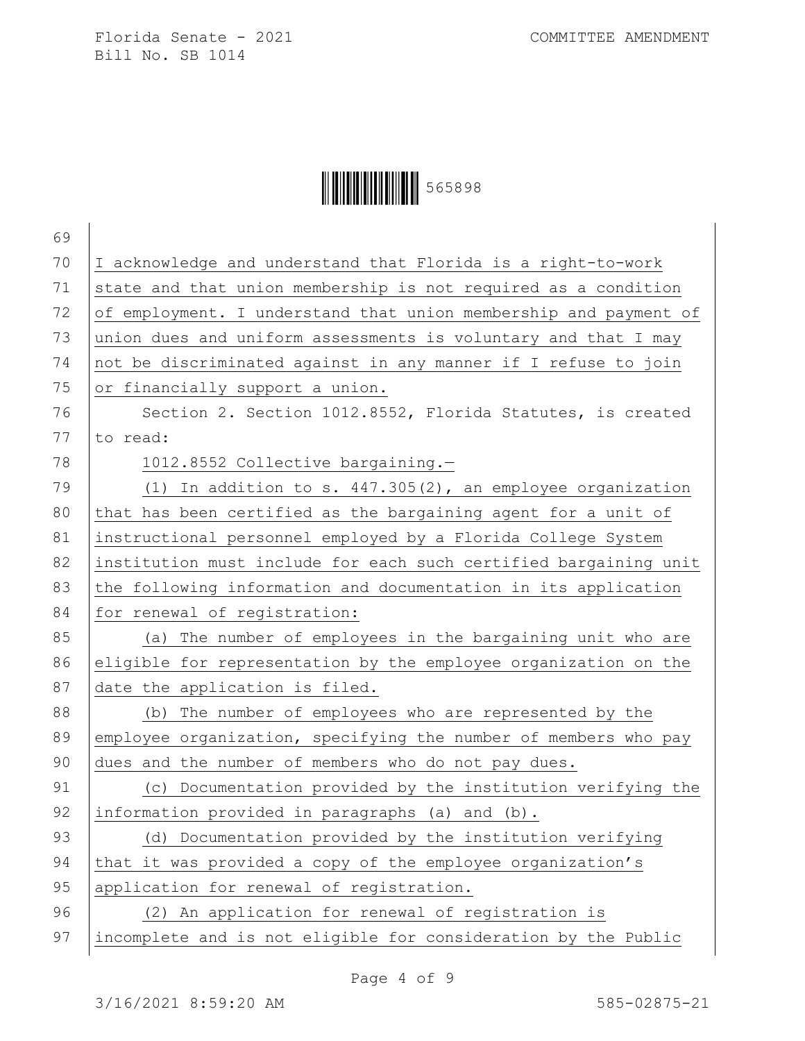| 69 |                                                                  |
|----|------------------------------------------------------------------|
| 70 | I acknowledge and understand that Florida is a right-to-work     |
| 71 | state and that union membership is not required as a condition   |
| 72 | of employment. I understand that union membership and payment of |
| 73 | union dues and uniform assessments is voluntary and that I may   |
| 74 | not be discriminated against in any manner if I refuse to join   |
| 75 | or financially support a union.                                  |
| 76 | Section 2. Section 1012.8552, Florida Statutes, is created       |
| 77 | to read:                                                         |
| 78 | 1012.8552 Collective bargaining.-                                |
| 79 | (1) In addition to s. $447.305(2)$ , an employee organization    |
| 80 | that has been certified as the bargaining agent for a unit of    |
| 81 | instructional personnel employed by a Florida College System     |
| 82 | institution must include for each such certified bargaining unit |
| 83 | the following information and documentation in its application   |
| 84 | for renewal of registration:                                     |
| 85 | (a) The number of employees in the bargaining unit who are       |
| 86 | eligible for representation by the employee organization on the  |
| 87 | date the application is filed.                                   |
| 88 | The number of employees who are represented by the<br>(b)        |
| 89 | employee organization, specifying the number of members who pay  |
| 90 | dues and the number of members who do not pay dues.              |
| 91 | (c) Documentation provided by the institution verifying the      |
| 92 | information provided in paragraphs (a) and (b).                  |
| 93 | (d) Documentation provided by the institution verifying          |
| 94 | that it was provided a copy of the employee organization's       |
| 95 | application for renewal of registration.                         |
| 96 | (2) An application for renewal of registration is                |
| 97 | incomplete and is not eligible for consideration by the Public   |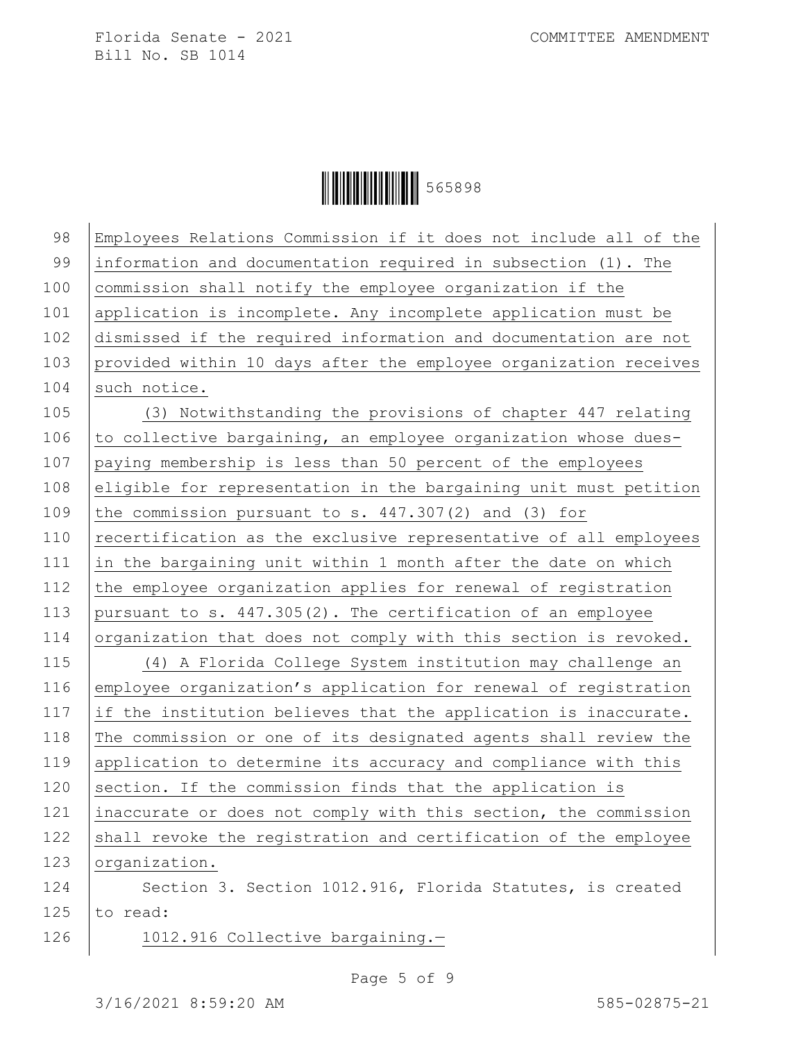| 98  | Employees Relations Commission if it does not include all of the |
|-----|------------------------------------------------------------------|
| 99  | information and documentation required in subsection (1). The    |
| 100 | commission shall notify the employee organization if the         |
| 101 | application is incomplete. Any incomplete application must be    |
| 102 | dismissed if the required information and documentation are not  |
| 103 | provided within 10 days after the employee organization receives |
| 104 | such notice.                                                     |
| 105 | (3) Notwithstanding the provisions of chapter 447 relating       |
| 106 | to collective bargaining, an employee organization whose dues-   |
| 107 | paying membership is less than 50 percent of the employees       |
| 108 | eligible for representation in the bargaining unit must petition |
| 109 | the commission pursuant to s. $447.307(2)$ and (3) for           |
| 110 | recertification as the exclusive representative of all employees |
| 111 | in the bargaining unit within 1 month after the date on which    |
| 112 | the employee organization applies for renewal of registration    |
| 113 | pursuant to s. 447.305(2). The certification of an employee      |
| 114 | organization that does not comply with this section is revoked.  |
| 115 | (4) A Florida College System institution may challenge an        |
| 116 | employee organization's application for renewal of registration  |
| 117 | if the institution believes that the application is inaccurate.  |
| 118 | The commission or one of its designated agents shall review the  |
| 119 | application to determine its accuracy and compliance with this   |
| 120 | section. If the commission finds that the application is         |
| 121 | inaccurate or does not comply with this section, the commission  |
| 122 | shall revoke the registration and certification of the employee  |
| 123 | organization.                                                    |
| 124 | Section 3. Section 1012.916, Florida Statutes, is created        |
| 125 | to read:                                                         |
| 126 | 1012.916 Collective bargaining.-                                 |
|     |                                                                  |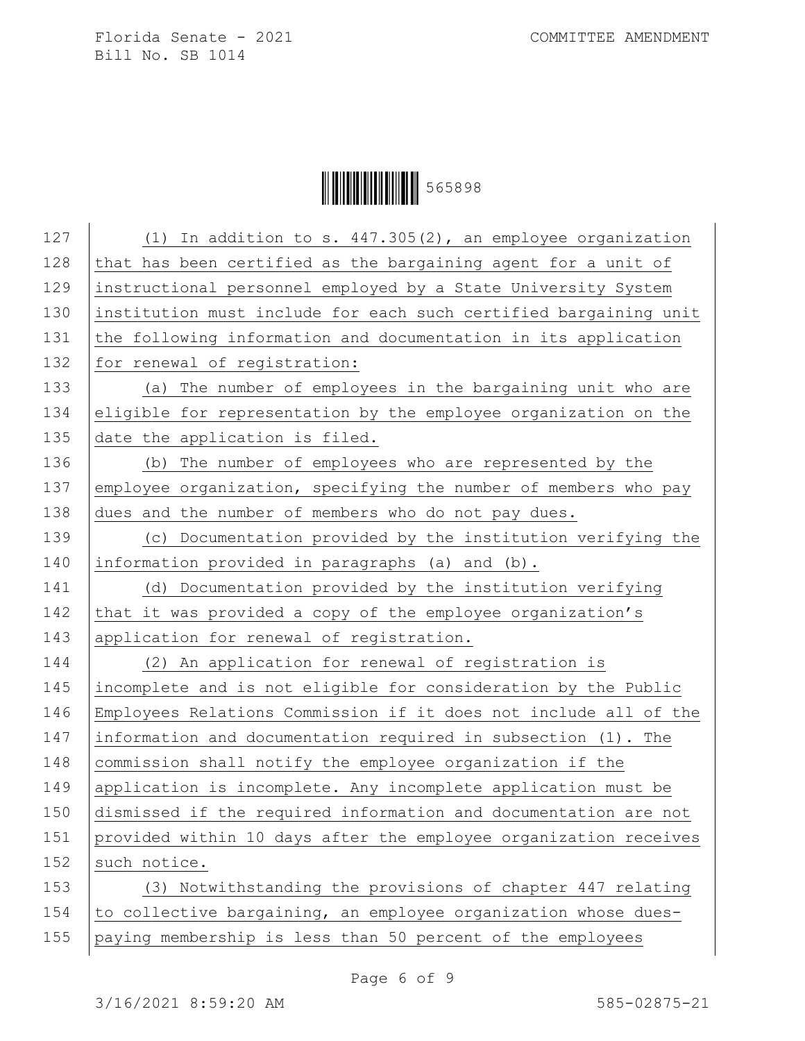| 127 | (1) In addition to s. 447.305(2), an employee organization       |
|-----|------------------------------------------------------------------|
| 128 | that has been certified as the bargaining agent for a unit of    |
| 129 | instructional personnel employed by a State University System    |
| 130 | institution must include for each such certified bargaining unit |
| 131 | the following information and documentation in its application   |
| 132 | for renewal of registration:                                     |
| 133 | (a) The number of employees in the bargaining unit who are       |
| 134 | eligible for representation by the employee organization on the  |
| 135 | date the application is filed.                                   |
| 136 | (b) The number of employees who are represented by the           |
| 137 | employee organization, specifying the number of members who pay  |
| 138 | dues and the number of members who do not pay dues.              |
| 139 | (c) Documentation provided by the institution verifying the      |
| 140 | information provided in paragraphs (a) and (b).                  |
| 141 | (d) Documentation provided by the institution verifying          |
| 142 | that it was provided a copy of the employee organization's       |
| 143 | application for renewal of registration.                         |
| 144 | (2) An application for renewal of registration is                |
| 145 | incomplete and is not eligible for consideration by the Public   |
| 146 | Employees Relations Commission if it does not include all of the |
| 147 | information and documentation required in subsection (1). The    |
| 148 | commission shall notify the employee organization if the         |
| 149 | application is incomplete. Any incomplete application must be    |
| 150 | dismissed if the required information and documentation are not  |
| 151 | provided within 10 days after the employee organization receives |
| 152 | such notice.                                                     |
| 153 | (3) Notwithstanding the provisions of chapter 447 relating       |
| 154 | to collective bargaining, an employee organization whose dues-   |
| 155 | paying membership is less than 50 percent of the employees       |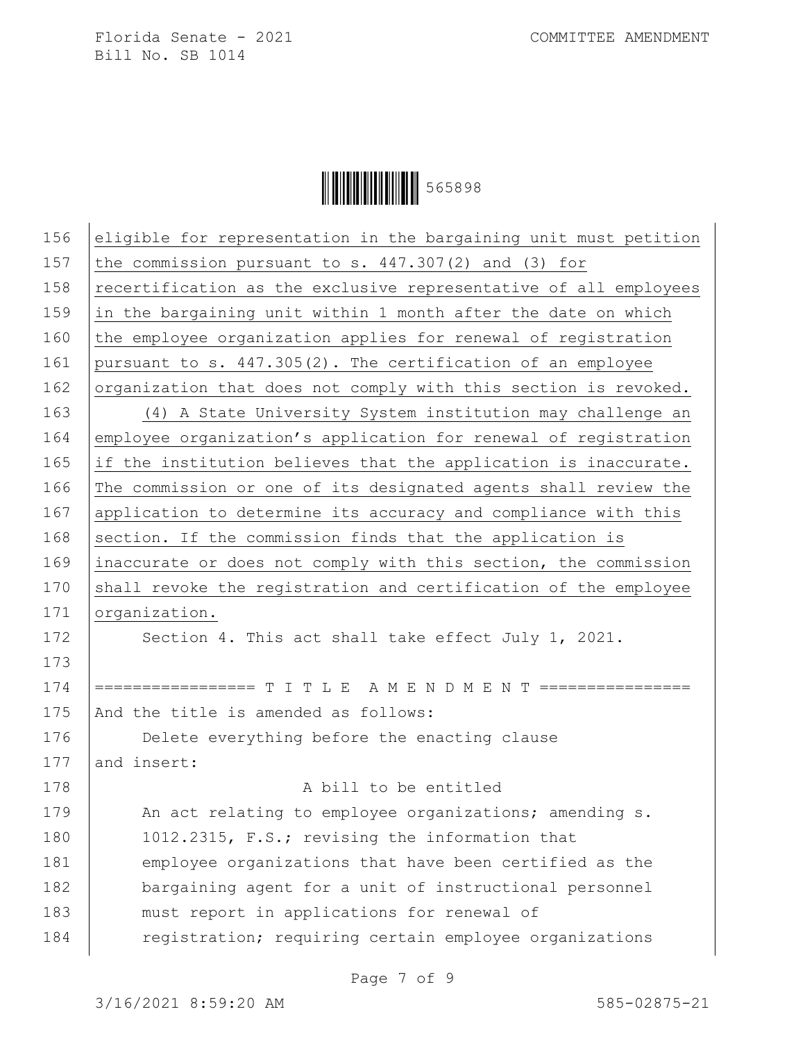$\begin{array}{|c|c|c|c|}\hline \multicolumn{1}{|}{\textbf{1}} & \multicolumn{1}{|}{\textbf{1}} & \multicolumn{1}{|}{\textbf{1}} & \multicolumn{1}{|}{\textbf{1}} & \multicolumn{1}{|}{\textbf{1}} & \multicolumn{1}{|}{\textbf{1}} & \multicolumn{1}{|}{\textbf{1}} & \multicolumn{1}{|}{\textbf{1}} & \multicolumn{1}{|}{\textbf{1}} & \multicolumn{1}{|}{\textbf{1}} & \multicolumn{1}{|}{\textbf{1}} & \multicolumn{1}{|}{\textbf{1}} & \multicolumn{1}{|}{\text$ 

|     | eligible for representation in the bargaining unit must petition |
|-----|------------------------------------------------------------------|
| 157 | the commission pursuant to s. $447.307(2)$ and (3) for           |
| 158 | recertification as the exclusive representative of all employees |
| 159 | in the bargaining unit within 1 month after the date on which    |
| 160 | the employee organization applies for renewal of registration    |
| 161 | pursuant to s. 447.305(2). The certification of an employee      |
| 162 | organization that does not comply with this section is revoked.  |
| 163 | (4) A State University System institution may challenge an       |
| 164 | employee organization's application for renewal of registration  |
| 165 | if the institution believes that the application is inaccurate.  |
| 166 | The commission or one of its designated agents shall review the  |
| 167 | application to determine its accuracy and compliance with this   |
| 168 | section. If the commission finds that the application is         |
| 169 | inaccurate or does not comply with this section, the commission  |
| 170 | shall revoke the registration and certification of the employee  |
|     |                                                                  |
| 171 | organization.                                                    |
| 172 | Section 4. This act shall take effect July 1, 2021.              |
| 173 |                                                                  |
| 174 | =============== T I T L E  A M E N D M E N T ================    |
| 175 | And the title is amended as follows:                             |
| 176 | Delete everything before the enacting clause                     |
| 177 | and insert:                                                      |
| 178 | A bill to be entitled                                            |
| 179 | An act relating to employee organizations; amending s.           |
| 180 | 1012.2315, F.S.; revising the information that                   |
| 181 | employee organizations that have been certified as the           |
| 182 | bargaining agent for a unit of instructional personnel           |
| 183 | must report in applications for renewal of                       |

Page 7 of 9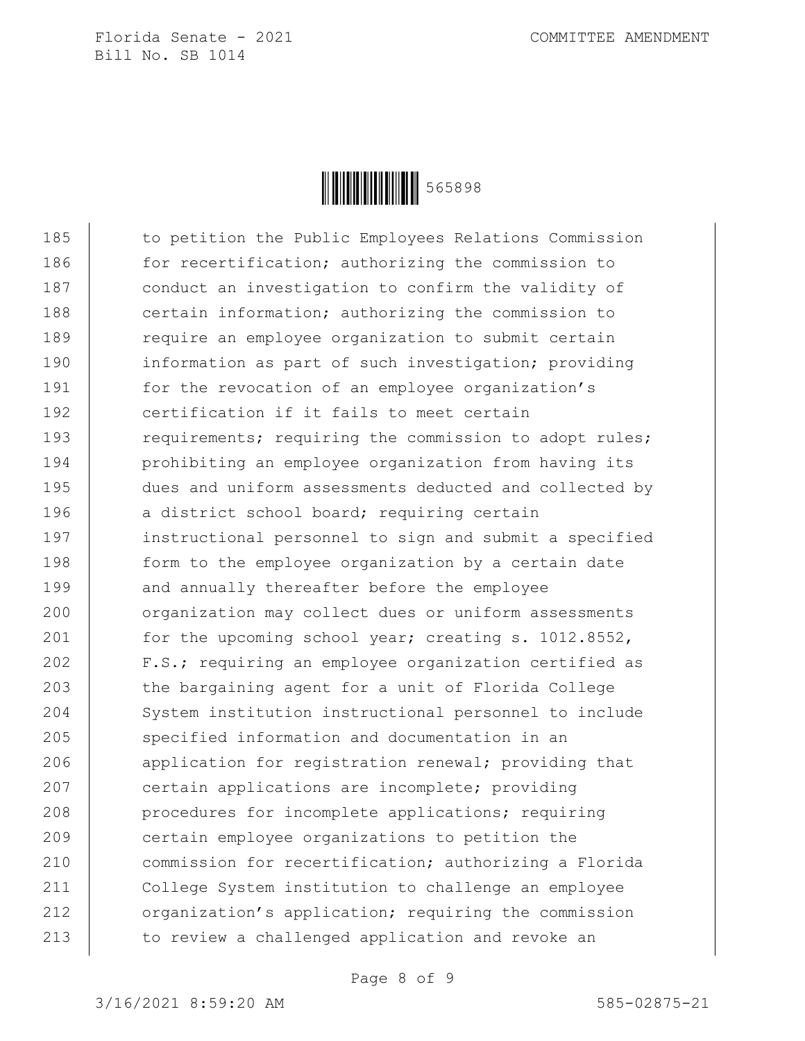

185 to petition the Public Employees Relations Commission 186 for recertification; authorizing the commission to 187 conduct an investigation to confirm the validity of 188 certain information; authorizing the commission to 189 Tequire an employee organization to submit certain 190 information as part of such investigation; providing 191 for the revocation of an employee organization's 192 certification if it fails to meet certain 193 requirements; requiring the commission to adopt rules; 194 | prohibiting an employee organization from having its 195 dues and uniform assessments deducted and collected by 196 a district school board; requiring certain 197 instructional personnel to sign and submit a specified 198 | form to the employee organization by a certain date 199 and annually thereafter before the employee 200 organization may collect dues or uniform assessments 201 for the upcoming school year; creating s. 1012.8552, 202 F.S.; requiring an employee organization certified as 203 the bargaining agent for a unit of Florida College 204 System institution instructional personnel to include 205 specified information and documentation in an 206 application for registration renewal; providing that 207 certain applications are incomplete; providing 208 **procedures for incomplete applications; requiring** 209 certain employee organizations to petition the 210 commission for recertification; authorizing a Florida 211 College System institution to challenge an employee 212 **organization's application;** requiring the commission 213 to review a challenged application and revoke an